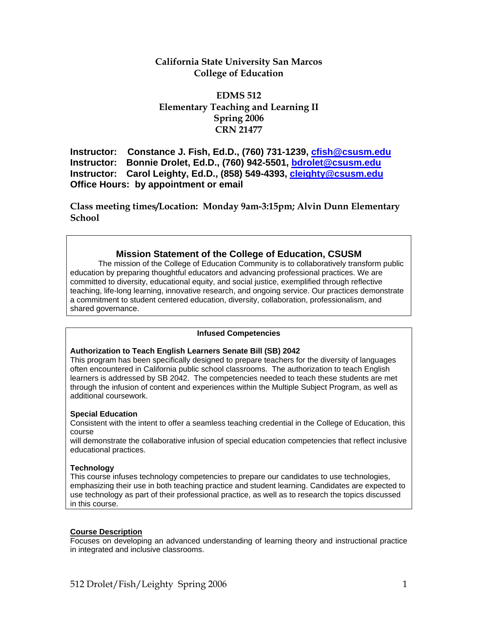# **California State University San Marcos College of Education**

# **EDMS 512 Elementary Teaching and Learning II Spring 2006 CRN 21477**

**Instructor: Constance J. Fish, Ed.D., (760) 731-1239, cfish@csusm.edu Instructor: Bonnie Drolet, Ed.D., (760) 942-5501, bdrolet@csusm.edu Instructor: Carol Leighty, Ed.D., (858) 549-4393, cleighty@csusm.edu Office Hours: by appointment or email** 

**Class meeting times/Location: Monday 9am-3:15pm; Alvin Dunn Elementary School**

# **Mission Statement of the College of Education, CSUSM**

The mission of the College of Education Community is to collaboratively transform public education by preparing thoughtful educators and advancing professional practices. We are committed to diversity, educational equity, and social justice, exemplified through reflective teaching, life-long learning, innovative research, and ongoing service. Our practices demonstrate a commitment to student centered education, diversity, collaboration, professionalism, and shared governance.

## **Infused Competencies**

## **Authorization to Teach English Learners Senate Bill (SB) 2042**

This program has been specifically designed to prepare teachers for the diversity of languages often encountered in California public school classrooms. The authorization to teach English learners is addressed by SB 2042. The competencies needed to teach these students are met through the infusion of content and experiences within the Multiple Subject Program, as well as additional coursework.

## **Special Education**

Consistent with the intent to offer a seamless teaching credential in the College of Education, this course

will demonstrate the collaborative infusion of special education competencies that reflect inclusive educational practices.

## **Technology**

This course infuses technology competencies to prepare our candidates to use technologies, emphasizing their use in both teaching practice and student learning. Candidates are expected to use technology as part of their professional practice, as well as to research the topics discussed in this course.

## **Course Description**

Focuses on developing an advanced understanding of learning theory and instructional practice in integrated and inclusive classrooms.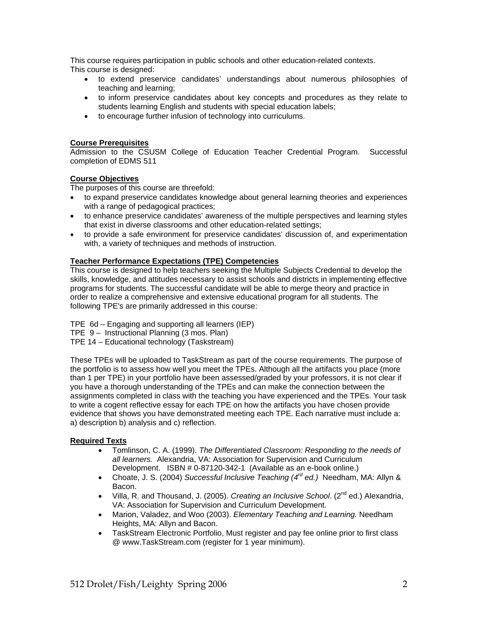This course requires participation in public schools and other education-related contexts. This course is designed:

- to extend preservice candidates' understandings about numerous philosophies of teaching and learning;
- to inform preservice candidates about key concepts and procedures as they relate to students learning English and students with special education labels;
- to encourage further infusion of technology into curriculums.

## **Course Prerequisites**

Admission to the CSUSM College of Education Teacher Credential Program. Successful completion of EDMS 511

## **Course Objectives**

The purposes of this course are threefold:

- to expand preservice candidates knowledge about general learning theories and experiences with a range of pedagogical practices;
- to enhance preservice candidates' awareness of the multiple perspectives and learning styles that exist in diverse classrooms and other education-related settings;
- to provide a safe environment for preservice candidates' discussion of, and experimentation with, a variety of techniques and methods of instruction.

## **Teacher Performance Expectations (TPE) Competencies**

This course is designed to help teachers seeking the Multiple Subjects Credential to develop the skills, knowledge, and attitudes necessary to assist schools and districts in implementing effective programs for students. The successful candidate will be able to merge theory and practice in order to realize a comprehensive and extensive educational program for all students. The following TPE's are primarily addressed in this course:

- TPE 6d Engaging and supporting all learners (IEP)
- TPE 9 Instructional Planning (3 mos. Plan)
- TPE 14 Educational technology (Taskstream)

These TPEs will be uploaded to TaskStream as part of the course requirements. The purpose of the portfolio is to assess how well you meet the TPEs. Although all the artifacts you place (more than 1 per TPE) in your portfolio have been assessed/graded by your professors, it is not clear if you have a thorough understanding of the TPEs and can make the connection between the assignments completed in class with the teaching you have experienced and the TPEs. Your task to write a cogent reflective essay for each TPE on how the artifacts you have chosen provide evidence that shows you have demonstrated meeting each TPE. Each narrative must include a: a) description b) analysis and c) reflection.

#### **Required Texts**

- Tomlinson, C. A. (1999). *The Differentiated Classroom: Responding to the needs of all learners.* Alexandria, VA: Association for Supervision and Curriculum Development. ISBN # 0-87120-342-1 (Available as an e-book online.)
- Choate, J. S. (2004) *Successful Inclusive Teaching (4rd ed.)* Needham, MA: Allyn & Bacon.
- Villa, R. and Thousand, J. (2005). *Creating an Inclusive School.* (2<sup>nd</sup> ed.) Alexandria, VA: Association for Supervision and Curriculum Development.
- Marion, Valadez, and Woo (2003). *Elementary Teaching and Learning.* Needham Heights, MA: Allyn and Bacon.
- TaskStream Electronic Portfolio, Must register and pay fee online prior to first class @ www.TaskStream.com (register for 1 year minimum).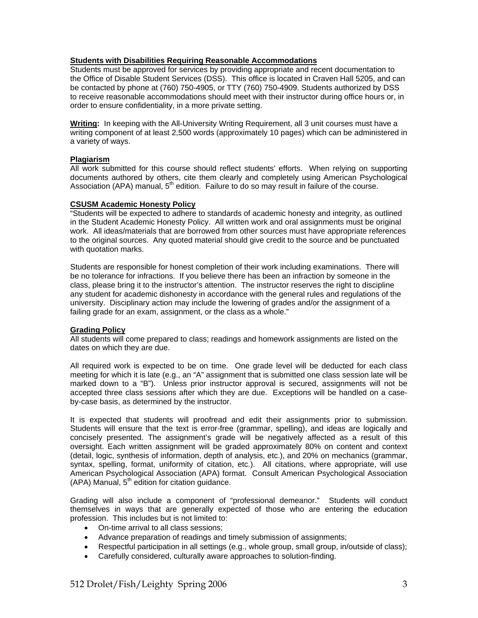### **Students with Disabilities Requiring Reasonable Accommodations**

Students must be approved for services by providing appropriate and recent documentation to the Office of Disable Student Services (DSS). This office is located in Craven Hall 5205, and can be contacted by phone at (760) 750-4905, or TTY (760) 750-4909. Students authorized by DSS to receive reasonable accommodations should meet with their instructor during office hours or, in order to ensure confidentiality, in a more private setting.

**Writing:** In keeping with the All-University Writing Requirement, all 3 unit courses must have a writing component of at least 2,500 words (approximately 10 pages) which can be administered in a variety of ways.

#### **Plagiarism**

All work submitted for this course should reflect students' efforts. When relying on supporting documents authored by others, cite them clearly and completely using American Psychological Association (APA) manual,  $5<sup>th</sup>$  edition. Failure to do so may result in failure of the course.

## **CSUSM Academic Honesty Policy**

"Students will be expected to adhere to standards of academic honesty and integrity, as outlined in the Student Academic Honesty Policy. All written work and oral assignments must be original work. All ideas/materials that are borrowed from other sources must have appropriate references to the original sources. Any quoted material should give credit to the source and be punctuated with quotation marks.

Students are responsible for honest completion of their work including examinations. There will be no tolerance for infractions. If you believe there has been an infraction by someone in the class, please bring it to the instructor's attention. The instructor reserves the right to discipline any student for academic dishonesty in accordance with the general rules and regulations of the university. Disciplinary action may include the lowering of grades and/or the assignment of a failing grade for an exam, assignment, or the class as a whole."

#### **Grading Policy**

All students will come prepared to class; readings and homework assignments are listed on the dates on which they are due.

All required work is expected to be on time. One grade level will be deducted for each class meeting for which it is late (e.g., an "A" assignment that is submitted one class session late will be marked down to a "B"). Unless prior instructor approval is secured, assignments will not be accepted three class sessions after which they are due. Exceptions will be handled on a caseby-case basis, as determined by the instructor.

It is expected that students will proofread and edit their assignments prior to submission. Students will ensure that the text is error-free (grammar, spelling), and ideas are logically and concisely presented. The assignment's grade will be negatively affected as a result of this oversight. Each written assignment will be graded approximately 80% on content and context (detail, logic, synthesis of information, depth of analysis, etc.), and 20% on mechanics (grammar, syntax, spelling, format, uniformity of citation, etc.). All citations, where appropriate, will use American Psychological Association (APA) format. Consult American Psychological Association  $(APA)$  Manual,  $5<sup>th</sup>$  edition for citation guidance.

Grading will also include a component of "professional demeanor." Students will conduct themselves in ways that are generally expected of those who are entering the education profession. This includes but is not limited to:

- On-time arrival to all class sessions;
- Advance preparation of readings and timely submission of assignments;
- Respectful participation in all settings (e.g., whole group, small group, in/outside of class);
- Carefully considered, culturally aware approaches to solution-finding.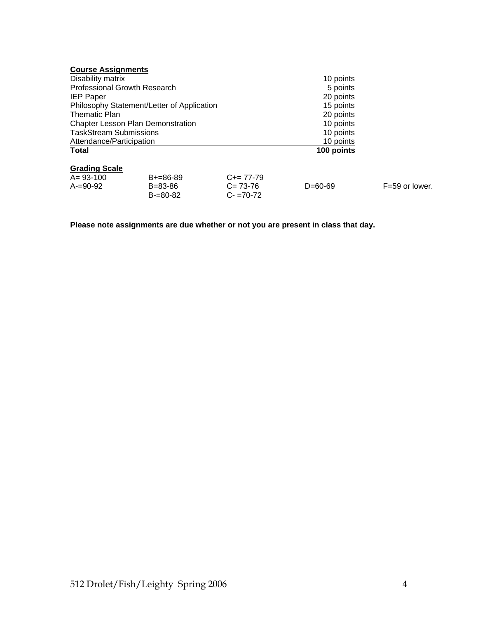| <b>Course Assignments</b>                  |                                |                              |            |                  |  |
|--------------------------------------------|--------------------------------|------------------------------|------------|------------------|--|
| Disability matrix                          |                                |                              | 10 points  |                  |  |
| <b>Professional Growth Research</b>        |                                |                              | 5 points   |                  |  |
| <b>IEP Paper</b>                           |                                |                              | 20 points  |                  |  |
| Philosophy Statement/Letter of Application |                                |                              | 15 points  |                  |  |
| <b>Thematic Plan</b>                       |                                |                              | 20 points  |                  |  |
| <b>Chapter Lesson Plan Demonstration</b>   |                                |                              | 10 points  |                  |  |
| <b>TaskStream Submissions</b>              |                                |                              | 10 points  |                  |  |
| Attendance/Participation                   |                                |                              | 10 points  |                  |  |
| <b>Total</b>                               |                                |                              | 100 points |                  |  |
| <b>Grading Scale</b>                       |                                |                              |            |                  |  |
| $A = 93 - 100$                             | $B+=86-89$                     | $C+= 77-79$                  |            |                  |  |
| $A = 90 - 92$                              | $B = 83 - 86$<br>$B = 80 - 82$ | $C = 73-76$<br>$C - 70 - 72$ | $D=60-69$  | $F=59$ or lower. |  |

**Please note assignments are due whether or not you are present in class that day.**